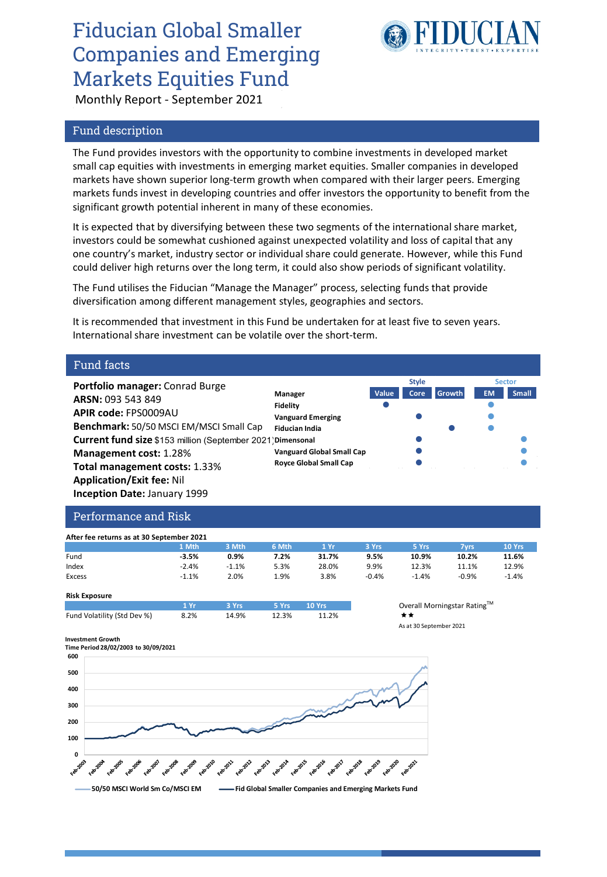# Fiducian Global Smaller Companies and Emerging Markets Equities Fund



Monthly Report - September 2021

## Fund description

The Fund provides investors with the opportunity to combine investments in developed market small cap equities with investments in emerging market equities. Smaller companies in developed markets have shown superior long-term growth when compared with their larger peers. Emerging markets funds invest in developing countries and offer investors the opportunity to benefit from the significant growth potential inherent in many of these economies.

It is expected that by diversifying between these two segments of the international share market, investors could be somewhat cushioned against unexpected volatility and loss of capital that any one country's market, industry sector or individual share could generate. However, while this Fund could deliver high returns over the long term, it could also show periods of significant volatility.

The Fund utilises the Fiducian "Manage the Manager" process, selecting funds that provide diversification among different management styles, geographies and sectors.

It is recommended that investment in this Fund be undertaken for at least five to seven years. International share investment can be volatile over the short-term.

### Fund facts

**Portfolio manager:** Conrad Burge **ARSN:** 093 543 849 **APIR code:** FPS0009AU **Benchmark:** 50/50 MSCI EM/MSCI Small Cap **Current fund size:** \$153 million (September 2021) **Dimensonal Management cost:** 1.28% **Total management costs:** 1.33% **Application/Exit fee:** Nil **Inception Date:** January 1999



### Performance and Risk

| After fee returns as at 30 September 2021 |         |         |       |       |         |         |         |               |  |  |
|-------------------------------------------|---------|---------|-------|-------|---------|---------|---------|---------------|--|--|
|                                           | 1 Mth   | 3 Mth   | 6 Mth | 1 Yr  | 3 Yrs   | 5 Yrs   | 7 vrs   | <b>10 Yrs</b> |  |  |
| Fund                                      | $-3.5%$ | 0.9%    | 7.2%  | 31.7% | 9.5%    | 10.9%   | 10.2%   | 11.6%         |  |  |
| Index                                     | $-2.4%$ | $-1.1%$ | 5.3%  | 28.0% | 9.9%    | 12.3%   | 11.1%   | 12.9%         |  |  |
| Excess                                    | $-1.1%$ | $2.0\%$ | 1.9%  | 3.8%  | $-0.4%$ | $-1.4%$ | $-0.9%$ | $-1.4%$       |  |  |

#### **Risk Exposure**

|                             | 1.8r | $\sim$ 3 Yrs $\sim$ | 5 Yrs 10 Yrs |       | Over                    |
|-----------------------------|------|---------------------|--------------|-------|-------------------------|
| Fund Volatility (Std Dev %) | 8.2% | 14.9%               | 12.3%        | 11.2% | **                      |
|                             |      |                     |              |       | $\cdot$ $\cdot$ $\cdot$ |

## **Overall Morningstar Rating™** As at 30 September 2021

**Style Sector**

**Investment Growth**